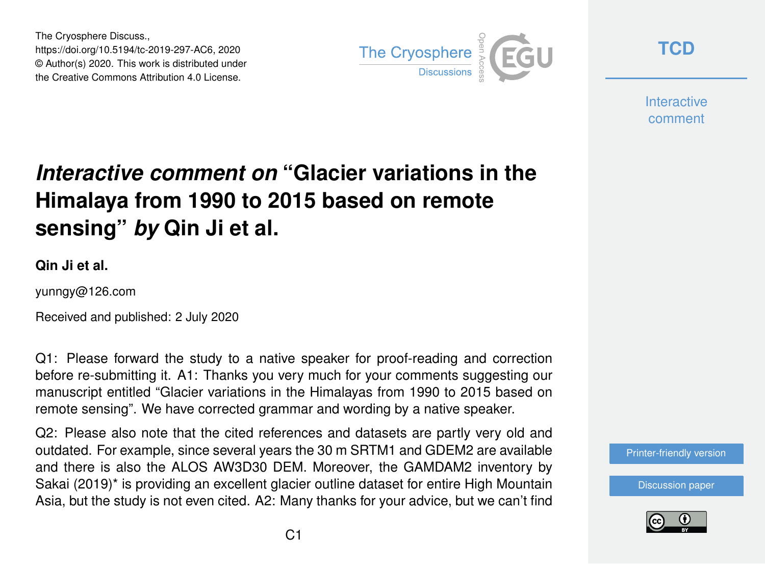The Cryosphere Discuss., https://doi.org/10.5194/tc-2019-297-AC6, 2020 © Author(s) 2020. This work is distributed under the Creative Commons Attribution 4.0 License.



**[TCD](https://tc.copernicus.org/preprints/)**

**Interactive** comment

## *Interactive comment on* **"Glacier variations in the Himalaya from 1990 to 2015 based on remote sensing"** *by* **Qin Ji et al.**

**Qin Ji et al.**

yunngy@126.com

Received and published: 2 July 2020

Q1: Please forward the study to a native speaker for proof-reading and correction before re-submitting it. A1: Thanks you very much for your comments suggesting our manuscript entitled "Glacier variations in the Himalayas from 1990 to 2015 based on remote sensing". We have corrected grammar and wording by a native speaker.

Q2: Please also note that the cited references and datasets are partly very old and outdated. For example, since several years the 30 m SRTM1 and GDEM2 are available and there is also the ALOS AW3D30 DEM. Moreover, the GAMDAM2 inventory by Sakai (2019)\* is providing an excellent glacier outline dataset for entire High Mountain Asia, but the study is not even cited. A2: Many thanks for your advice, but we can't find

[Printer-friendly version](https://tc.copernicus.org/preprints/tc-2019-297/tc-2019-297-AC6-print.pdf)

[Discussion paper](https://tc.copernicus.org/preprints/tc-2019-297)